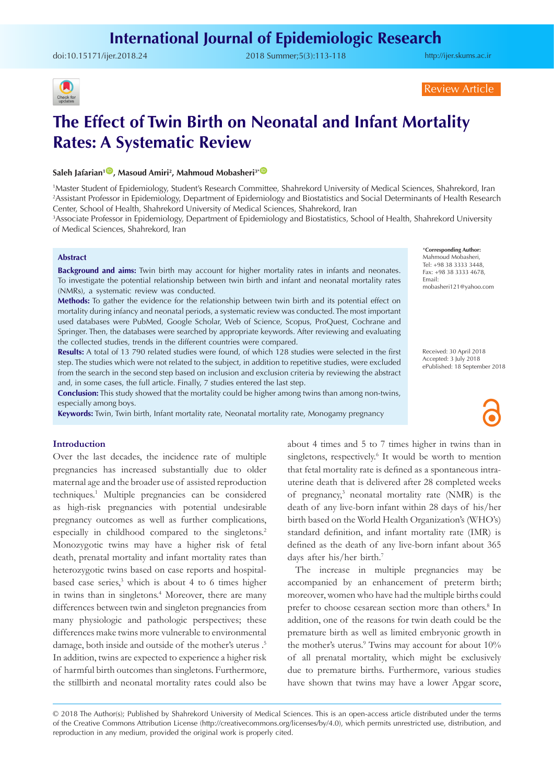doi:[10.15171/ijer.2018.24](https://doi.org/10.15171/ijer.2018.24) 2018 Summer;5(3):113-118

<http://ijer.skums.ac.ir>



Review Article

# **The Effect of Twin Birth on Neonatal and Infant Mortality Rates: A Systematic Review**

## $\mathsf{Saleh}\xspace$  Jafarian $^1\mathsf{D}\xspace$ , Masoud Amiri $^2$ , Mahmoud Mobasheri $^3$   $^1\mathsf{D}\xspace$

1 Master Student of Epidemiology, Student's Research Committee, Shahrekord University of Medical Sciences, Shahrekord, Iran 2 Assistant Professor in Epidemiology, Department of Epidemiology and Biostatistics and Social Determinants of Health Research Center, School of Health, Shahrekord University of Medical Sciences, Shahrekord, Iran

3 Associate Professor in Epidemiology, Department of Epidemiology and Biostatistics, School of Health, Shahrekord University of Medical Sciences, Shahrekord, Iran

#### **Abstract**

**Background and aims:** Twin birth may account for higher mortality rates in infants and neonates. To investigate the potential relationship between twin birth and infant and neonatal mortality rates (NMRs), a systematic review was conducted.

**Methods:** To gather the evidence for the relationship between twin birth and its potential effect on mortality during infancy and neonatal periods, a systematic review was conducted. The most important used databases were PubMed, Google Scholar, Web of Science, Scopus, ProQuest, Cochrane and Springer. Then, the databases were searched by appropriate keywords. After reviewing and evaluating the collected studies, trends in the different countries were compared.

**Results:** A total of 13 790 related studies were found, of which 128 studies were selected in the first step. The studies which were not related to the subject, in addition to repetitive studies, were excluded from the search in the second step based on inclusion and exclusion criteria by reviewing the abstract and, in some cases, the full article. Finally, 7 studies entered the last step.

**Conclusion:** This study showed that the mortality could be higher among twins than among non-twins, especially among boys.

**Keywords:** Twin, Twin birth, Infant mortality rate, Neonatal mortality rate, Monogamy pregnancy

## **Introduction**

Over the last decades, the incidence rate of multiple pregnancies has increased substantially due to older maternal age and the broader use of assisted reproduction techniques.1 Multiple pregnancies can be considered as high-risk pregnancies with potential undesirable pregnancy outcomes as well as further complications, especially in childhood compared to the singletons.<sup>2</sup> Monozygotic twins may have a higher risk of fetal death, prenatal mortality and infant mortality rates than heterozygotic twins based on case reports and hospitalbased case series,<sup>3</sup> which is about 4 to 6 times higher in twins than in singletons.<sup>4</sup> Moreover, there are many differences between twin and singleton pregnancies from many physiologic and pathologic perspectives; these differences make twins more vulnerable to environmental damage, both inside and outside of the mother's uterus .5 In addition, twins are expected to experience a higher risk of harmful birth outcomes than singletons. Furthermore, the stillbirth and neonatal mortality rates could also be

about 4 times and 5 to 7 times higher in twins than in singletons, respectively.<sup>6</sup> It would be worth to mention that fetal mortality rate is defined as a spontaneous intrauterine death that is delivered after 28 completed weeks of pregnancy,3 neonatal mortality rate (NMR) is the death of any live-born infant within 28 days of his/her birth based on the World Health Organization's (WHO's) standard definition, and infant mortality rate (IMR) is defined as the death of any live-born infant about 365 days after his/her birth.7

The increase in multiple pregnancies may be accompanied by an enhancement of preterm birth; moreover, women who have had the multiple births could prefer to choose cesarean section more than others.<sup>8</sup> In addition, one of the reasons for twin death could be the premature birth as well as limited embryonic growth in the mother's uterus.<sup>9</sup> Twins may account for about 10% of all prenatal mortality, which might be exclusively due to premature births. Furthermore, various studies have shown that twins may have a lower Apgar score,

\***Corresponding Author:** Mahmoud Mobasheri, Tel: +98 38 3333 3448, Fax: +98 38 3333 4678, Email: mobasheri121@yahoo.com

Received: 30 April 2018 Accepted: 3 July 2018 ePublished: 18 September 2018

<sup>© 2018</sup> The Author(s); Published by Shahrekord University of Medical Sciences. This is an open-access article distributed under the terms of the Creative Commons Attribution License (http://creativecommons.org/licenses/by/4.0), which permits unrestricted use, distribution, and reproduction in any medium, provided the original work is properly cited.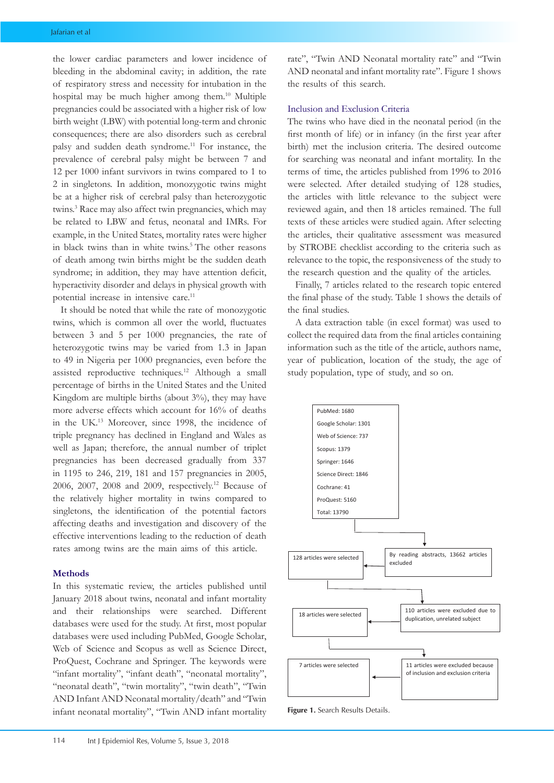the lower cardiac parameters and lower incidence of bleeding in the abdominal cavity; in addition, the rate of respiratory stress and necessity for intubation in the hospital may be much higher among them.10 Multiple pregnancies could be associated with a higher risk of low birth weight (LBW) with potential long-term and chronic consequences; there are also disorders such as cerebral palsy and sudden death syndrome.<sup>11</sup> For instance, the prevalence of cerebral palsy might be between 7 and 12 per 1000 infant survivors in twins compared to 1 to 2 in singletons. In addition, monozygotic twins might be at a higher risk of cerebral palsy than heterozygotic twins.3 Race may also affect twin pregnancies, which may be related to LBW and fetus, neonatal and IMRs. For example, in the United States, mortality rates were higher in black twins than in white twins.<sup>5</sup> The other reasons of death among twin births might be the sudden death syndrome; in addition, they may have attention deficit, hyperactivity disorder and delays in physical growth with potential increase in intensive care.<sup>11</sup>

It should be noted that while the rate of monozygotic twins, which is common all over the world, fluctuates between 3 and 5 per 1000 pregnancies, the rate of heterozygotic twins may be varied from 1.3 in Japan to 49 in Nigeria per 1000 pregnancies, even before the assisted reproductive techniques.12 Although a small percentage of births in the United States and the United Kingdom are multiple births (about 3%), they may have more adverse effects which account for 16% of deaths in the UK.13 Moreover, since 1998, the incidence of triple pregnancy has declined in England and Wales as well as Japan; therefore, the annual number of triplet pregnancies has been decreased gradually from 337 in 1195 to 246, 219, 181 and 157 pregnancies in 2005, 2006, 2007, 2008 and 2009, respectively.12 Because of the relatively higher mortality in twins compared to singletons, the identification of the potential factors affecting deaths and investigation and discovery of the effective interventions leading to the reduction of death rates among twins are the main aims of this article.

## **Methods**

In this systematic review, the articles published until January 2018 about twins, neonatal and infant mortality and their relationships were searched. Different databases were used for the study. At first, most popular databases were used including PubMed, Google Scholar, Web of Science and Scopus as well as Science Direct, ProQuest, Cochrane and Springer. The keywords were "infant mortality", "infant death", "neonatal mortality", "neonatal death", "twin mortality", "twin death", "Twin AND Infant AND Neonatal mortality/death" and "Twin infant neonatal mortality", "Twin AND infant mortality rate", "Twin AND Neonatal mortality rate" and "Twin AND neonatal and infant mortality rate". Figure 1 shows the results of this search.

## Inclusion and Exclusion Criteria

The twins who have died in the neonatal period (in the first month of life) or in infancy (in the first year after birth) met the inclusion criteria. The desired outcome for searching was neonatal and infant mortality. In the terms of time, the articles published from 1996 to 2016 were selected. After detailed studying of 128 studies, the articles with little relevance to the subject were reviewed again, and then 18 articles remained. The full texts of these articles were studied again. After selecting the articles, their qualitative assessment was measured by STROBE checklist according to the criteria such as relevance to the topic, the responsiveness of the study to the research question and the quality of the articles.

Finally, 7 articles related to the research topic entered the final phase of the study. Table 1 shows the details of the final studies.

A data extraction table (in excel format) was used to collect the required data from the final articles containing information such as the title of the article, authors name, year of publication, location of the study, the age of study population, type of study, and so on.



**Figure 1.** Search Results Details.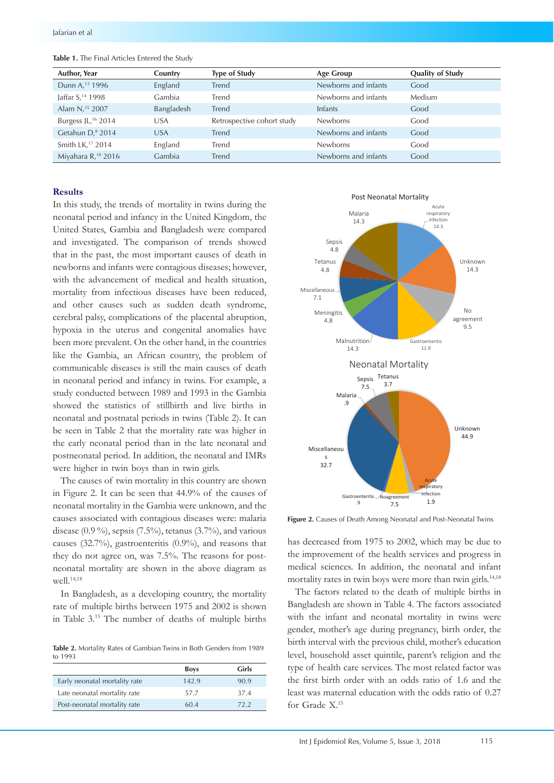| <b>Author, Year</b>            | Country    | <b>Type of Study</b>       | Age Group            | <b>Quality of Study</b> |
|--------------------------------|------------|----------------------------|----------------------|-------------------------|
| Dunn A, <sup>13</sup> 1996     | England    | Trend                      | Newborns and infants | Good                    |
| Jaffar S, <sup>14</sup> 1998   | Gambia     | Trend                      | Newborns and infants | Medium                  |
| Alam N, <sup>15</sup> 2007     | Bangladesh | Trend                      | Infants              | Good                    |
| Burgess JL, <sup>16</sup> 2014 | USA        | Retrospective cohort study | <b>Newborns</b>      | Good                    |
| Getahun D, <sup>8</sup> 2014   | USA        | Trend                      | Newborns and infants | Good                    |
| Smith LK, <sup>17</sup> 2014   | England    | Trend                      | <b>Newborns</b>      | Good                    |
| Miyahara R, <sup>18</sup> 2016 | Gambia     | Trend                      | Newborns and infants | Good                    |

**Table 1.** The Final Articles Entered the Study

#### **Results**

In this study, the trends of mortality in twins during the neonatal period and infancy in the United Kingdom, the United States, Gambia and Bangladesh were compared and investigated. The comparison of trends showed that in the past, the most important causes of death in newborns and infants were contagious diseases; however, with the advancement of medical and health situation, mortality from infectious diseases have been reduced, and other causes such as sudden death syndrome, cerebral palsy, complications of the placental abruption, hypoxia in the uterus and congenital anomalies have been more prevalent. On the other hand, in the countries like the Gambia, an African country, the problem of communicable diseases is still the main causes of death in neonatal period and infancy in twins. For example, a study conducted between 1989 and 1993 in the Gambia showed the statistics of stillbirth and live births in neonatal and postnatal periods in twins (Table 2). It can be seen in Table 2 that the mortality rate was higher in the early neonatal period than in the late neonatal and postneonatal period. In addition, the neonatal and IMRs were higher in twin boys than in twin girls.

The causes of twin mortality in this country are shown in Figure 2. It can be seen that 44.9% of the causes of neonatal mortality in the Gambia were unknown, and the causes associated with contagious diseases were: malaria disease  $(0.9\%)$ , sepsis  $(7.5\%)$ , tetanus  $(3.7\%)$ , and various causes (32.7%), gastroenteritis (0.9%), and reasons that they do not agree on, was 7.5%. The reasons for postneonatal mortality are shown in the above diagram as well.<sup>14,18</sup>

In Bangladesh, as a developing country, the mortality rate of multiple births between 1975 and 2002 is shown in Table 3.15 The number of deaths of multiple births

**Table 2.** Mortality Rates of Gambian Twins in Both Genders from 1989 to 1993

|                               | <b>Boys</b> | Girls |
|-------------------------------|-------------|-------|
| Early neonatal mortality rate | 142.9       | 90.9  |
| Late neonatal mortality rate  | 57.7        | 374   |
| Post-neonatal mortality rate  | 60.4        | 722   |



**Figure 2.** Causes of Death Among Neonatal and Post-Neonatal Twins

has decreased from 1975 to 2002, which may be due to the improvement of the health services and progress in medical sciences. In addition, the neonatal and infant mortality rates in twin boys were more than twin girls.<sup>14,18</sup>

The factors related to the death of multiple births in Bangladesh are shown in Table 4. The factors associated with the infant and neonatal mortality in twins were gender, mother's age during pregnancy, birth order, the birth interval with the previous child, mother's education level, household asset quintile, parent's religion and the type of health care services. The most related factor was the first birth order with an odds ratio of 1.6 and the least was maternal education with the odds ratio of 0.27 for Grade X.15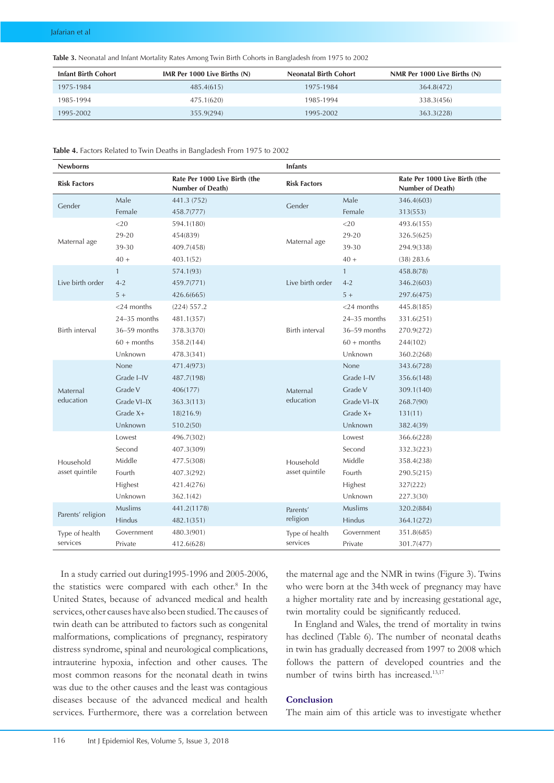**Table 3.** Neonatal and Infant Mortality Rates Among Twin Birth Cohorts in Bangladesh from 1975 to 2002

| <b>Infant Birth Cohort</b> | IMR Per $1000$ Live Births $(N)$ | <b>Neonatal Birth Cohort</b> | NMR Per 1000 Live Births $(N)$ |
|----------------------------|----------------------------------|------------------------------|--------------------------------|
| 1975-1984                  | 485.4(615)                       | 1975-1984                    | 364.8(472)                     |
| 1985-1994                  | 475.1(620)                       | 1985-1994                    | 338.3(456)                     |
| 1995-2002                  | 355.9(294)                       | 1995-2002                    | 363.3(228)                     |

| Table 4. Factors Related to Twin Deaths in Bangladesh From 1975 to 2002 |  |
|-------------------------------------------------------------------------|--|
|-------------------------------------------------------------------------|--|

| <b>Newborns</b>     |                |                                                   | <b>Infants</b>                                                                                                                                                                                                              |                                                                                             |                                                   |
|---------------------|----------------|---------------------------------------------------|-----------------------------------------------------------------------------------------------------------------------------------------------------------------------------------------------------------------------------|---------------------------------------------------------------------------------------------|---------------------------------------------------|
| <b>Risk Factors</b> |                | Rate Per 1000 Live Birth (the<br>Number of Death) | <b>Risk Factors</b>                                                                                                                                                                                                         |                                                                                             | Rate Per 1000 Live Birth (the<br>Number of Death) |
| Gender              | Male           | 441.3 (752)                                       | Gender                                                                                                                                                                                                                      | Male                                                                                        | 346.4(603)                                        |
|                     | Female         | 458.7(777)                                        |                                                                                                                                                                                                                             | Female                                                                                      | 313(553)                                          |
|                     | $<$ 20         | 594.1(180)                                        |                                                                                                                                                                                                                             | $<$ 20                                                                                      | 493.6(155)                                        |
| Maternal age        | 29-20          | 454(839)                                          | Maternal age                                                                                                                                                                                                                | 29-20                                                                                       | 326.5(625)                                        |
|                     | 39-30          | 409.7(458)                                        |                                                                                                                                                                                                                             | 39-30                                                                                       | 294.9(338)                                        |
|                     | $40 +$         | 403.1(52)                                         |                                                                                                                                                                                                                             | $40 +$                                                                                      | $(38)$ 283.6                                      |
|                     | $\mathbf{1}$   | 574.1(93)                                         |                                                                                                                                                                                                                             | $\mathbf{1}$                                                                                | 458.8(78)                                         |
| Live birth order    | $4 - 2$        | 459.7(771)                                        | Live birth order                                                                                                                                                                                                            | $4 - 2$                                                                                     | 346.2(603)                                        |
|                     | $5+$           | 426.6(665)                                        | $5+$<br>$<$ 24 months<br>$24-35$ months<br>Birth interval<br>$36-59$ months<br>$60 + months$<br>Unknown<br>None<br>Grade I-IV<br>Grade V<br>Maternal<br>education<br>Grade VI-IX<br>Grade X+<br>Unknown<br>Lowest<br>Second | 297.6(475)                                                                                  |                                                   |
|                     | $<$ 24 months  | (224) 557.2                                       |                                                                                                                                                                                                                             |                                                                                             | 445.8(185)                                        |
|                     | $24-35$ months | 481.1(357)                                        |                                                                                                                                                                                                                             |                                                                                             | 331.6(251)                                        |
| Birth interval      | $36-59$ months | 378.3(370)                                        |                                                                                                                                                                                                                             |                                                                                             | 270.9(272)                                        |
|                     | $60 +$ months  | 358.2(144)                                        |                                                                                                                                                                                                                             |                                                                                             | 244(102)                                          |
|                     | Unknown        | 478.3(341)                                        |                                                                                                                                                                                                                             |                                                                                             | 360.2(268)                                        |
|                     | None           | 471.4(973)                                        |                                                                                                                                                                                                                             |                                                                                             | 343.6(728)                                        |
|                     | Grade I-IV     | 487.7(198)                                        |                                                                                                                                                                                                                             |                                                                                             | 356.6(148)                                        |
| Maternal            | Grade V        | 406(177)                                          |                                                                                                                                                                                                                             |                                                                                             | 309.1(140)                                        |
| education           | Grade VI-IX    | 363.3(113)                                        |                                                                                                                                                                                                                             |                                                                                             | 268.7(90)                                         |
|                     | Grade $X+$     | 18)216.9)                                         |                                                                                                                                                                                                                             |                                                                                             | 131(11)                                           |
|                     | Unknown        | 510.2(50)                                         |                                                                                                                                                                                                                             | Middle<br>Fourth<br>Highest<br>Unknown<br><b>Muslims</b><br>Hindus<br>Government<br>Private | 382.4(39)                                         |
|                     | Lowest         | 496.7(302)                                        |                                                                                                                                                                                                                             |                                                                                             | 366.6(228)                                        |
|                     | Second         | 407.3(309)                                        | Household<br>asset quintile                                                                                                                                                                                                 |                                                                                             | 332.3(223)                                        |
| Household           | Middle         | 477.5(308)                                        |                                                                                                                                                                                                                             |                                                                                             | 358.4(238)                                        |
| asset quintile      | Fourth         | 407.3(292)                                        |                                                                                                                                                                                                                             |                                                                                             | 290.5(215)                                        |
|                     | Highest        | 421.4(276)                                        |                                                                                                                                                                                                                             |                                                                                             | 327(222)                                          |
|                     | Unknown        | 362.1(42)                                         |                                                                                                                                                                                                                             |                                                                                             | 227.3(30)                                         |
|                     | Muslims        | 441.2(1178)                                       | Parents'                                                                                                                                                                                                                    |                                                                                             | 320.2(884)                                        |
| Parents' religion   | Hindus         | 482.1(351)                                        | religion                                                                                                                                                                                                                    |                                                                                             | 364.1(272)                                        |
| Type of health      | Government     | 480.3(901)                                        | Type of health                                                                                                                                                                                                              |                                                                                             | 351.8(685)                                        |
| services            | Private        | 412.6(628)                                        | services                                                                                                                                                                                                                    |                                                                                             | 301.7(477)                                        |

In a study carried out during1995-1996 and 2005-2006, the statistics were compared with each other.<sup>8</sup> In the United States, because of advanced medical and health services, other causes have also been studied. The causes of twin death can be attributed to factors such as congenital malformations, complications of pregnancy, respiratory distress syndrome, spinal and neurological complications, intrauterine hypoxia, infection and other causes. The most common reasons for the neonatal death in twins was due to the other causes and the least was contagious diseases because of the advanced medical and health services. Furthermore, there was a correlation between

the maternal age and the NMR in twins (Figure 3). Twins who were born at the 34thweek of pregnancy may have a higher mortality rate and by increasing gestational age, twin mortality could be significantly reduced.

In England and Wales, the trend of mortality in twins has declined (Table 6). The number of neonatal deaths in twin has gradually decreased from 1997 to 2008 which follows the pattern of developed countries and the number of twins birth has increased.<sup>13,17</sup>

# **Conclusion**

The main aim of this article was to investigate whether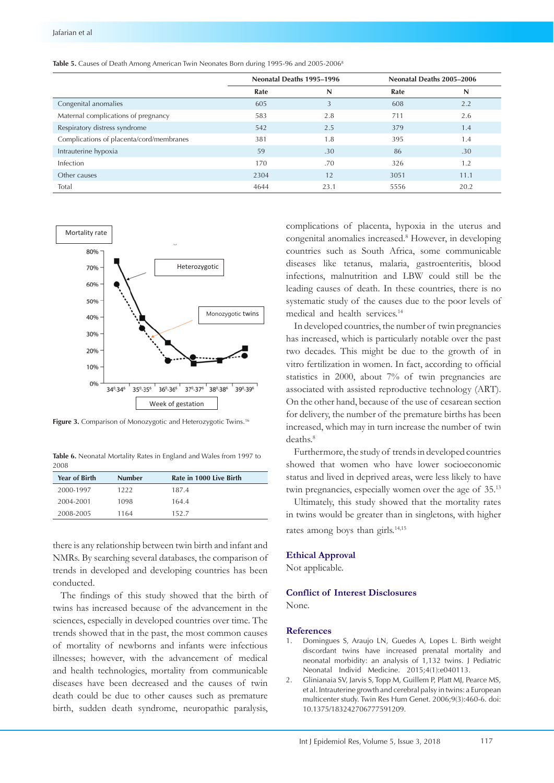|                                          | Neonatal Deaths 1995-1996 |      | Neonatal Deaths 2005-2006 |      |
|------------------------------------------|---------------------------|------|---------------------------|------|
|                                          | Rate                      | N    | Rate                      | N    |
| Congenital anomalies                     | 605                       | 3    | 608                       | 2.2  |
| Maternal complications of pregnancy      | 583                       | 2.8  | 711                       | 2.6  |
| Respiratory distress syndrome            | 542                       | 2.5  | 379                       | 1.4  |
| Complications of placenta/cord/membranes | 381                       | 1.8  | 395                       | 1.4  |
| Intrauterine hypoxia                     | 59                        | .30  | 86                        | .30  |
| Infection                                | 170                       | .70  | 326                       | 1.2  |
| Other causes                             | 2304                      | 12   | 3051                      | 11.1 |
| Total                                    | 4644                      | 23.1 | 5556                      | 20.2 |



Figure 3. Comparison of Monozygotic and Heterozygotic Twins **Figure 3.** Comparison of Monozygotic and Heterozygotic Twins.16

**Table 6.** Neonatal Mortality Rates in England and Wales from 1997 to has declined furthermore, the stud 2008

| <b>Year of Birth</b> | <b>Number</b> | Rate in 1000 Live Birth | status a |
|----------------------|---------------|-------------------------|----------|
| 2000-1997            | 1222          | 187.4                   | twin pro |
| 2004-2001            | 1098          | 164.4                   | Ultim    |
| 2008-2005            | 1164          | 152.7                   | in twins |

there is any relationship between twin birth and infant and NMRs. By searching several databases, the comparison of trends in developed and developing countries has been Mot conducted.

matetica.<br>The findings of this study showed that the birth of twins has increased because of the advancement in the sciences, especially in developed countries over time. The trends showed that in the past, the most common causes of mortality of newborns and infants were infectious illnesses; however, with the advancement of medical and health technologies, mortality from communicable diseases have been decreased and the causes of twin death could be due to other causes such as premature birth, sudden death syndrome, neuropathic paralysis,

complications of placenta, hypoxia in the uterus and congenital anomalies increased.8 However, in developing countries such as South Africa, some communicable diseases like tetanus, malaria, gastroenteritis, blood infections, malnutrition and LBW could still be the leading causes of death. In these countries, there is no systematic study of the causes due to the poor levels of medical and health services.14

In developed countries, the number of twin pregnancies has increased, which is particularly notable over the past two decades. This might be due to the growth of in vitro fertilization in women. In fact, according to official statistics in 2000, about 7% of twin pregnancies are associated with assisted reproductive technology (ART). On the other hand, because of the use of cesarean section for delivery, the number of the premature births has been increased, which may in turn increase the number of twin deaths.<sup>8</sup>

showed that women who have lower socioeconomic Furthermore, the study of trends in developed countries status and lived in deprived areas, were less likely to have twin pregnancies, especially women over the age of 35.13

> Ultimately, this study showed that the mortality rates in twins would be greater than in singletons, with higher rates among boys than girls.<sup>14,15</sup>

### **Ethical Approval**

Not applicable.

## **Conflict of Interest Disclosures**

None.

#### **References**

- 1. Domingues S, Araujo LN, Guedes A, Lopes L. Birth weight discordant twins have increased prenatal mortality and neonatal morbidity: an analysis of 1,132 twins. J Pediatric Neonatal Individ Medicine. 2015;4(1):e040113.
- 2. Glinianaia SV, Jarvis S, Topp M, Guillem P, Platt MJ, Pearce MS, et al. Intrauterine growth and cerebral palsy in twins: a European multicenter study. Twin Res Hum Genet. 2006;9(3):460-6. doi: 10.1375/183242706777591209.